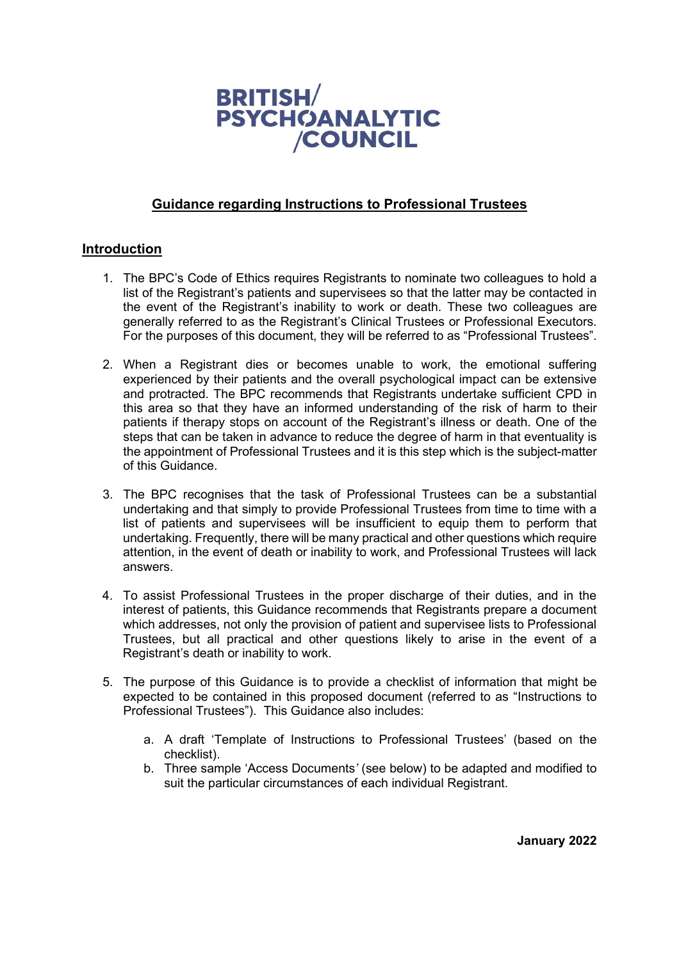

## **Guidance regarding Instructions to Professional Trustees**

## **Introduction**

- 1. The BPC's Code of Ethics requires Registrants to nominate two colleagues to hold a list of the Registrant's patients and supervisees so that the latter may be contacted in the event of the Registrant's inability to work or death. These two colleagues are generally referred to as the Registrant's Clinical Trustees or Professional Executors. For the purposes of this document, they will be referred to as "Professional Trustees".
- 2. When a Registrant dies or becomes unable to work, the emotional suffering experienced by their patients and the overall psychological impact can be extensive and protracted. The BPC recommends that Registrants undertake sufficient CPD in this area so that they have an informed understanding of the risk of harm to their patients if therapy stops on account of the Registrant's illness or death. One of the steps that can be taken in advance to reduce the degree of harm in that eventuality is the appointment of Professional Trustees and it is this step which is the subject-matter of this Guidance.
- 3. The BPC recognises that the task of Professional Trustees can be a substantial undertaking and that simply to provide Professional Trustees from time to time with a list of patients and supervisees will be insufficient to equip them to perform that undertaking. Frequently, there will be many practical and other questions which require attention, in the event of death or inability to work, and Professional Trustees will lack answers.
- 4. To assist Professional Trustees in the proper discharge of their duties, and in the interest of patients, this Guidance recommends that Registrants prepare a document which addresses, not only the provision of patient and supervisee lists to Professional Trustees, but all practical and other questions likely to arise in the event of a Registrant's death or inability to work.
- 5. The purpose of this Guidance is to provide a checklist of information that might be expected to be contained in this proposed document (referred to as "Instructions to Professional Trustees"). This Guidance also includes:
	- a. A draft 'Template of Instructions to Professional Trustees' (based on the checklist).
	- b. Three sample 'Access Documents*'* (see below) to be adapted and modified to suit the particular circumstances of each individual Registrant.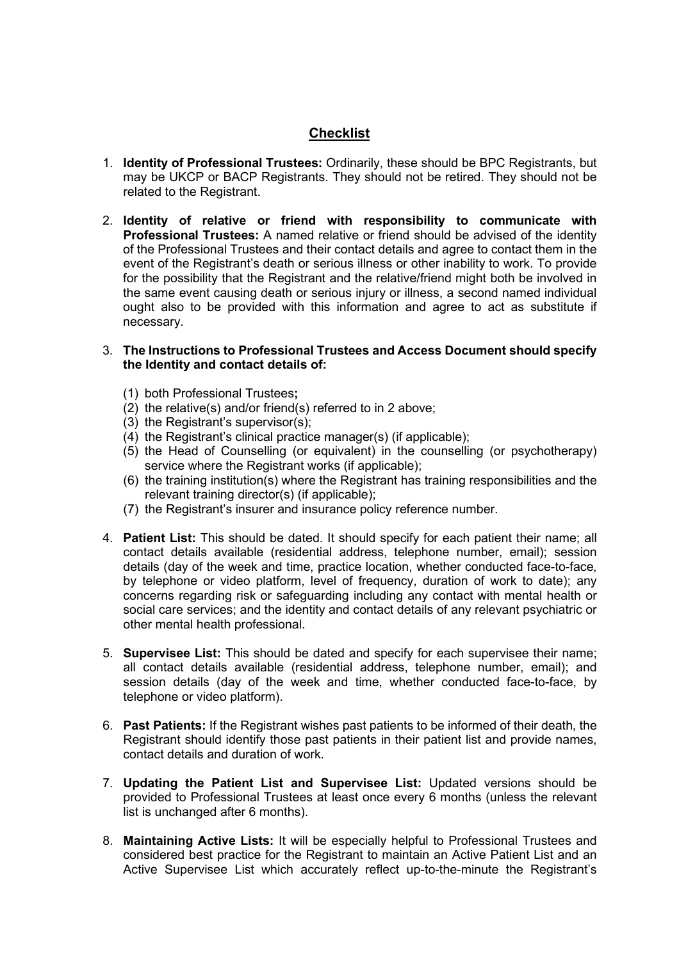# **Checklist**

- 1. **Identity of Professional Trustees:** Ordinarily, these should be BPC Registrants, but may be UKCP or BACP Registrants. They should not be retired. They should not be related to the Registrant.
- 2. **Identity of relative or friend with responsibility to communicate with Professional Trustees:** A named relative or friend should be advised of the identity of the Professional Trustees and their contact details and agree to contact them in the event of the Registrant's death or serious illness or other inability to work. To provide for the possibility that the Registrant and the relative/friend might both be involved in the same event causing death or serious injury or illness, a second named individual ought also to be provided with this information and agree to act as substitute if necessary.

#### 3. **The Instructions to Professional Trustees and Access Document should specify the Identity and contact details of:**

- (1) both Professional Trustees**;**
- $(2)$  the relative(s) and/or friend(s) referred to in 2 above;
- (3) the Registrant's supervisor(s);
- (4) the Registrant's clinical practice manager(s) (if applicable);
- (5) the Head of Counselling (or equivalent) in the counselling (or psychotherapy) service where the Registrant works (if applicable);
- (6) the training institution(s) where the Registrant has training responsibilities and the relevant training director(s) (if applicable);
- (7) the Registrant's insurer and insurance policy reference number.
- 4. **Patient List:** This should be dated. It should specify for each patient their name; all contact details available (residential address, telephone number, email); session details (day of the week and time, practice location, whether conducted face-to-face, by telephone or video platform, level of frequency, duration of work to date); any concerns regarding risk or safeguarding including any contact with mental health or social care services; and the identity and contact details of any relevant psychiatric or other mental health professional.
- 5. **Supervisee List:** This should be dated and specify for each supervisee their name; all contact details available (residential address, telephone number, email); and session details (day of the week and time, whether conducted face-to-face, by telephone or video platform).
- 6. **Past Patients:** If the Registrant wishes past patients to be informed of their death, the Registrant should identify those past patients in their patient list and provide names, contact details and duration of work.
- 7. **Updating the Patient List and Supervisee List:** Updated versions should be provided to Professional Trustees at least once every 6 months (unless the relevant list is unchanged after 6 months).
- 8. **Maintaining Active Lists:** It will be especially helpful to Professional Trustees and considered best practice for the Registrant to maintain an Active Patient List and an Active Supervisee List which accurately reflect up-to-the-minute the Registrant's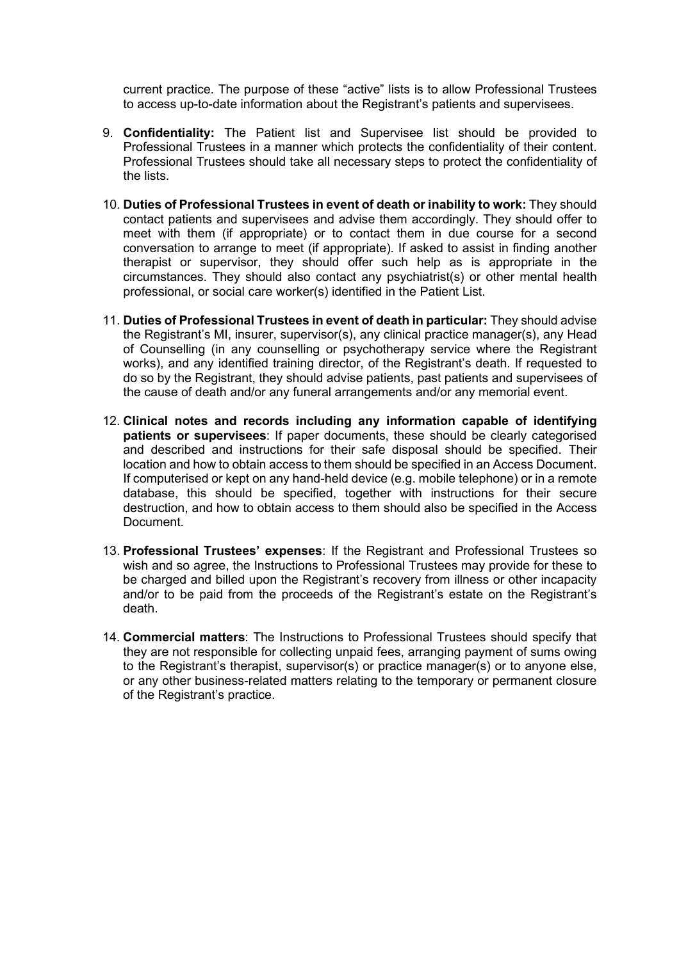current practice. The purpose of these "active" lists is to allow Professional Trustees to access up-to-date information about the Registrant's patients and supervisees.

- 9. **Confidentiality:** The Patient list and Supervisee list should be provided to Professional Trustees in a manner which protects the confidentiality of their content. Professional Trustees should take all necessary steps to protect the confidentiality of the lists.
- 10. **Duties of Professional Trustees in event of death or inability to work:** They should contact patients and supervisees and advise them accordingly. They should offer to meet with them (if appropriate) or to contact them in due course for a second conversation to arrange to meet (if appropriate). If asked to assist in finding another therapist or supervisor, they should offer such help as is appropriate in the circumstances. They should also contact any psychiatrist(s) or other mental health professional, or social care worker(s) identified in the Patient List.
- 11. **Duties of Professional Trustees in event of death in particular:** They should advise the Registrant's MI, insurer, supervisor(s), any clinical practice manager(s), any Head of Counselling (in any counselling or psychotherapy service where the Registrant works), and any identified training director, of the Registrant's death. If requested to do so by the Registrant, they should advise patients, past patients and supervisees of the cause of death and/or any funeral arrangements and/or any memorial event.
- 12. **Clinical notes and records including any information capable of identifying patients or supervisees**: If paper documents, these should be clearly categorised and described and instructions for their safe disposal should be specified. Their location and how to obtain access to them should be specified in an Access Document. If computerised or kept on any hand-held device (e.g. mobile telephone) or in a remote database, this should be specified, together with instructions for their secure destruction, and how to obtain access to them should also be specified in the Access Document.
- 13. **Professional Trustees' expenses**: If the Registrant and Professional Trustees so wish and so agree, the Instructions to Professional Trustees may provide for these to be charged and billed upon the Registrant's recovery from illness or other incapacity and/or to be paid from the proceeds of the Registrant's estate on the Registrant's death.
- 14. **Commercial matters**: The Instructions to Professional Trustees should specify that they are not responsible for collecting unpaid fees, arranging payment of sums owing to the Registrant's therapist, supervisor(s) or practice manager(s) or to anyone else, or any other business-related matters relating to the temporary or permanent closure of the Registrant's practice.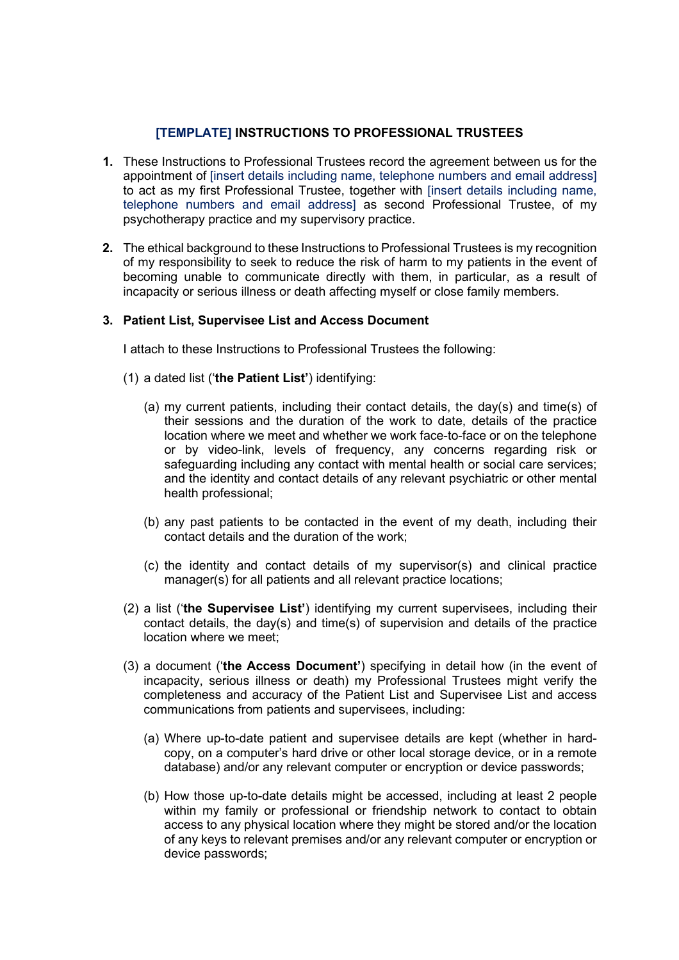## **[TEMPLATE] INSTRUCTIONS TO PROFESSIONAL TRUSTEES**

- **1.** These Instructions to Professional Trustees record the agreement between us for the appointment of [insert details including name, telephone numbers and email address] to act as my first Professional Trustee, together with [insert details including name, telephone numbers and email address] as second Professional Trustee, of my psychotherapy practice and my supervisory practice.
- **2.** The ethical background to these Instructions to Professional Trustees is my recognition of my responsibility to seek to reduce the risk of harm to my patients in the event of becoming unable to communicate directly with them, in particular, as a result of incapacity or serious illness or death affecting myself or close family members.

## **3. Patient List, Supervisee List and Access Document**

I attach to these Instructions to Professional Trustees the following:

- (1) a dated list ('**the Patient List'**) identifying:
	- (a) my current patients, including their contact details, the day(s) and time(s) of their sessions and the duration of the work to date, details of the practice location where we meet and whether we work face-to-face or on the telephone or by video-link, levels of frequency, any concerns regarding risk or safeguarding including any contact with mental health or social care services; and the identity and contact details of any relevant psychiatric or other mental health professional;
	- (b) any past patients to be contacted in the event of my death, including their contact details and the duration of the work;
	- (c) the identity and contact details of my supervisor(s) and clinical practice manager(s) for all patients and all relevant practice locations;
- (2) a list ('**the Supervisee List'**) identifying my current supervisees, including their contact details, the day(s) and time(s) of supervision and details of the practice location where we meet;
- (3) a document ('**the Access Document'**) specifying in detail how (in the event of incapacity, serious illness or death) my Professional Trustees might verify the completeness and accuracy of the Patient List and Supervisee List and access communications from patients and supervisees, including:
	- (a) Where up-to-date patient and supervisee details are kept (whether in hardcopy, on a computer's hard drive or other local storage device, or in a remote database) and/or any relevant computer or encryption or device passwords;
	- (b) How those up-to-date details might be accessed, including at least 2 people within my family or professional or friendship network to contact to obtain access to any physical location where they might be stored and/or the location of any keys to relevant premises and/or any relevant computer or encryption or device passwords;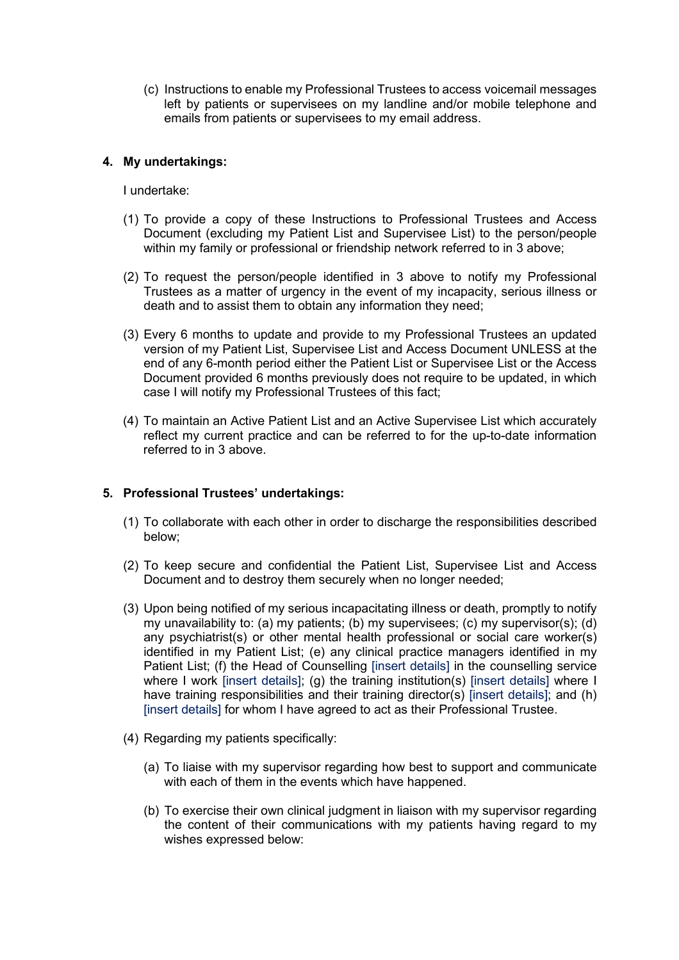(c) Instructions to enable my Professional Trustees to access voicemail messages left by patients or supervisees on my landline and/or mobile telephone and emails from patients or supervisees to my email address.

#### **4. My undertakings:**

I undertake:

- (1) To provide a copy of these Instructions to Professional Trustees and Access Document (excluding my Patient List and Supervisee List) to the person/people within my family or professional or friendship network referred to in 3 above;
- (2) To request the person/people identified in 3 above to notify my Professional Trustees as a matter of urgency in the event of my incapacity, serious illness or death and to assist them to obtain any information they need;
- (3) Every 6 months to update and provide to my Professional Trustees an updated version of my Patient List, Supervisee List and Access Document UNLESS at the end of any 6-month period either the Patient List or Supervisee List or the Access Document provided 6 months previously does not require to be updated, in which case I will notify my Professional Trustees of this fact;
- (4) To maintain an Active Patient List and an Active Supervisee List which accurately reflect my current practice and can be referred to for the up-to-date information referred to in 3 above.

## **5. Professional Trustees' undertakings:**

- (1) To collaborate with each other in order to discharge the responsibilities described below;
- (2) To keep secure and confidential the Patient List, Supervisee List and Access Document and to destroy them securely when no longer needed;
- (3) Upon being notified of my serious incapacitating illness or death, promptly to notify my unavailability to: (a) my patients; (b) my supervisees; (c) my supervisor(s); (d) any psychiatrist(s) or other mental health professional or social care worker(s) identified in my Patient List; (e) any clinical practice managers identified in my Patient List; (f) the Head of Counselling [insert details] in the counselling service where I work [insert details]; (q) the training institution(s) [insert details] where I have training responsibilities and their training director(s) [insert details]; and (h) [insert details] for whom I have agreed to act as their Professional Trustee.
- (4) Regarding my patients specifically:
	- (a) To liaise with my supervisor regarding how best to support and communicate with each of them in the events which have happened.
	- (b) To exercise their own clinical judgment in liaison with my supervisor regarding the content of their communications with my patients having regard to my wishes expressed below: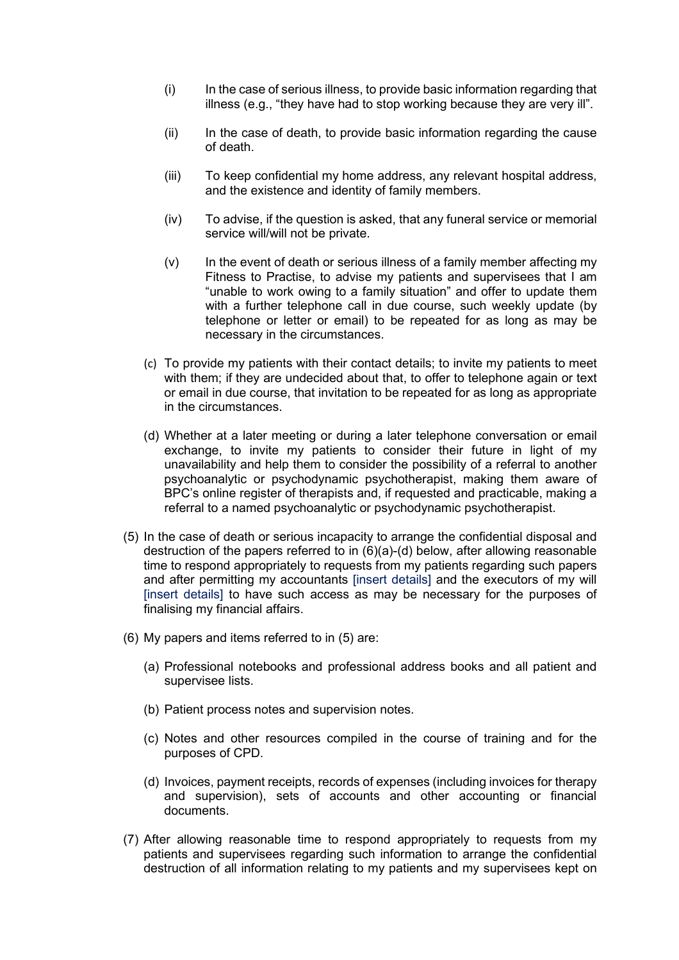- (i) In the case of serious illness, to provide basic information regarding that illness (e.g., "they have had to stop working because they are very ill".
- $(i)$  In the case of death, to provide basic information regarding the cause of death.
- (iii) To keep confidential my home address, any relevant hospital address, and the existence and identity of family members.
- (iv) To advise, if the question is asked, that any funeral service or memorial service will/will not be private.
- (v) In the event of death or serious illness of a family member affecting my Fitness to Practise, to advise my patients and supervisees that I am "unable to work owing to a family situation" and offer to update them with a further telephone call in due course, such weekly update (by telephone or letter or email) to be repeated for as long as may be necessary in the circumstances.
- (c) To provide my patients with their contact details; to invite my patients to meet with them; if they are undecided about that, to offer to telephone again or text or email in due course, that invitation to be repeated for as long as appropriate in the circumstances.
- (d) Whether at a later meeting or during a later telephone conversation or email exchange, to invite my patients to consider their future in light of my unavailability and help them to consider the possibility of a referral to another psychoanalytic or psychodynamic psychotherapist, making them aware of BPC's online register of therapists and, if requested and practicable, making a referral to a named psychoanalytic or psychodynamic psychotherapist.
- (5) In the case of death or serious incapacity to arrange the confidential disposal and destruction of the papers referred to in (6)(a)-(d) below, after allowing reasonable time to respond appropriately to requests from my patients regarding such papers and after permitting my accountants [insert details] and the executors of my will [insert details] to have such access as may be necessary for the purposes of finalising my financial affairs.
- (6) My papers and items referred to in (5) are:
	- (a) Professional notebooks and professional address books and all patient and supervisee lists.
	- (b) Patient process notes and supervision notes.
	- (c) Notes and other resources compiled in the course of training and for the purposes of CPD.
	- (d) Invoices, payment receipts, records of expenses (including invoices for therapy and supervision), sets of accounts and other accounting or financial documents.
- (7) After allowing reasonable time to respond appropriately to requests from my patients and supervisees regarding such information to arrange the confidential destruction of all information relating to my patients and my supervisees kept on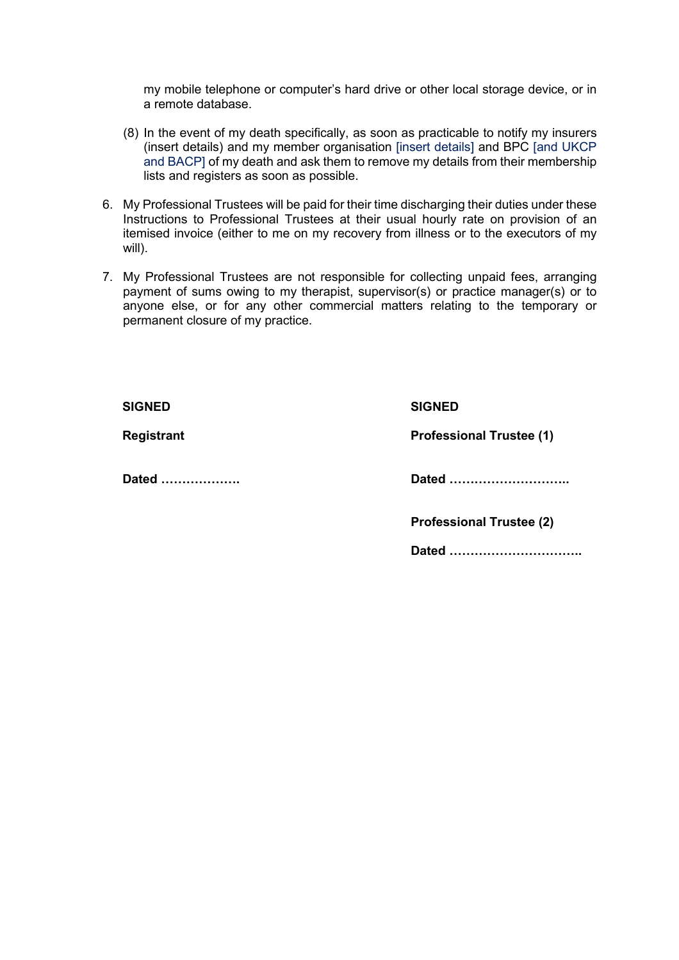my mobile telephone or computer's hard drive or other local storage device, or in a remote database.

- (8) In the event of my death specifically, as soon as practicable to notify my insurers (insert details) and my member organisation [insert details] and BPC [and UKCP and BACP] of my death and ask them to remove my details from their membership lists and registers as soon as possible.
- 6. My Professional Trustees will be paid for their time discharging their duties under these Instructions to Professional Trustees at their usual hourly rate on provision of an itemised invoice (either to me on my recovery from illness or to the executors of my will).
- 7. My Professional Trustees are not responsible for collecting unpaid fees, arranging payment of sums owing to my therapist, supervisor(s) or practice manager(s) or to anyone else, or for any other commercial matters relating to the temporary or permanent closure of my practice.

| <b>SIGNED</b>     | <b>SIGNED</b>                   |
|-------------------|---------------------------------|
| <b>Registrant</b> | <b>Professional Trustee (1)</b> |
| Dated             | Dated                           |
|                   | <b>Professional Trustee (2)</b> |
|                   | Dated                           |
|                   |                                 |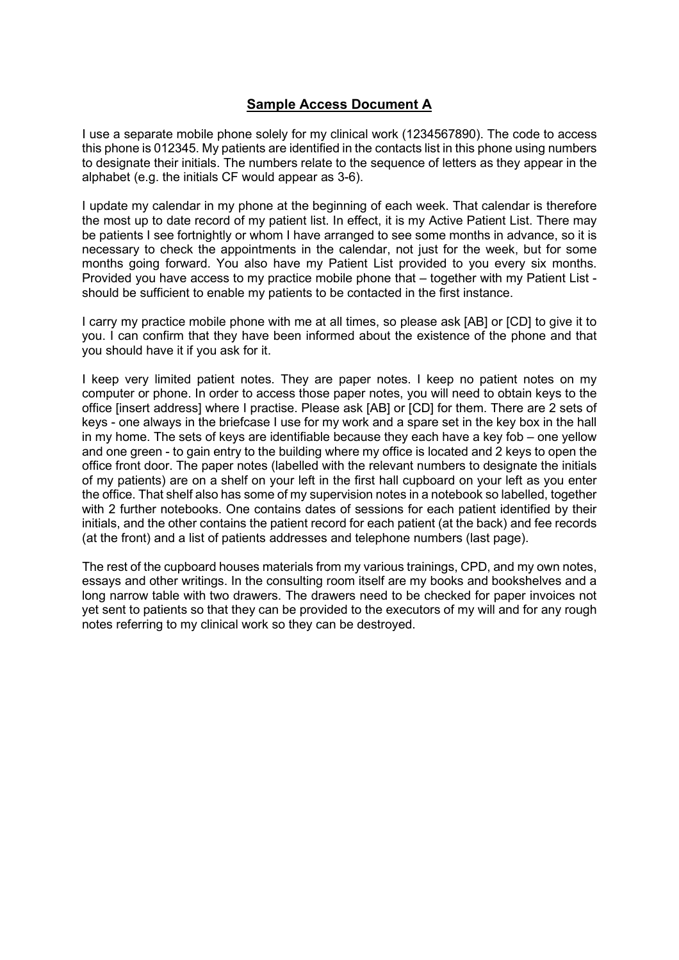# **Sample Access Document A**

I use a separate mobile phone solely for my clinical work (1234567890). The code to access this phone is 012345. My patients are identified in the contacts list in this phone using numbers to designate their initials. The numbers relate to the sequence of letters as they appear in the alphabet (e.g. the initials CF would appear as 3-6).

I update my calendar in my phone at the beginning of each week. That calendar is therefore the most up to date record of my patient list. In effect, it is my Active Patient List. There may be patients I see fortnightly or whom I have arranged to see some months in advance, so it is necessary to check the appointments in the calendar, not just for the week, but for some months going forward. You also have my Patient List provided to you every six months. Provided you have access to my practice mobile phone that – together with my Patient List should be sufficient to enable my patients to be contacted in the first instance.

I carry my practice mobile phone with me at all times, so please ask [AB] or [CD] to give it to you. I can confirm that they have been informed about the existence of the phone and that you should have it if you ask for it.

I keep very limited patient notes. They are paper notes. I keep no patient notes on my computer or phone. In order to access those paper notes, you will need to obtain keys to the office [insert address] where I practise. Please ask [AB] or [CD] for them. There are 2 sets of keys - one always in the briefcase I use for my work and a spare set in the key box in the hall in my home. The sets of keys are identifiable because they each have a key fob – one yellow and one green - to gain entry to the building where my office is located and 2 keys to open the office front door. The paper notes (labelled with the relevant numbers to designate the initials of my patients) are on a shelf on your left in the first hall cupboard on your left as you enter the office. That shelf also has some of my supervision notes in a notebook so labelled, together with 2 further notebooks. One contains dates of sessions for each patient identified by their initials, and the other contains the patient record for each patient (at the back) and fee records (at the front) and a list of patients addresses and telephone numbers (last page).

The rest of the cupboard houses materials from my various trainings, CPD, and my own notes, essays and other writings. In the consulting room itself are my books and bookshelves and a long narrow table with two drawers. The drawers need to be checked for paper invoices not yet sent to patients so that they can be provided to the executors of my will and for any rough notes referring to my clinical work so they can be destroyed.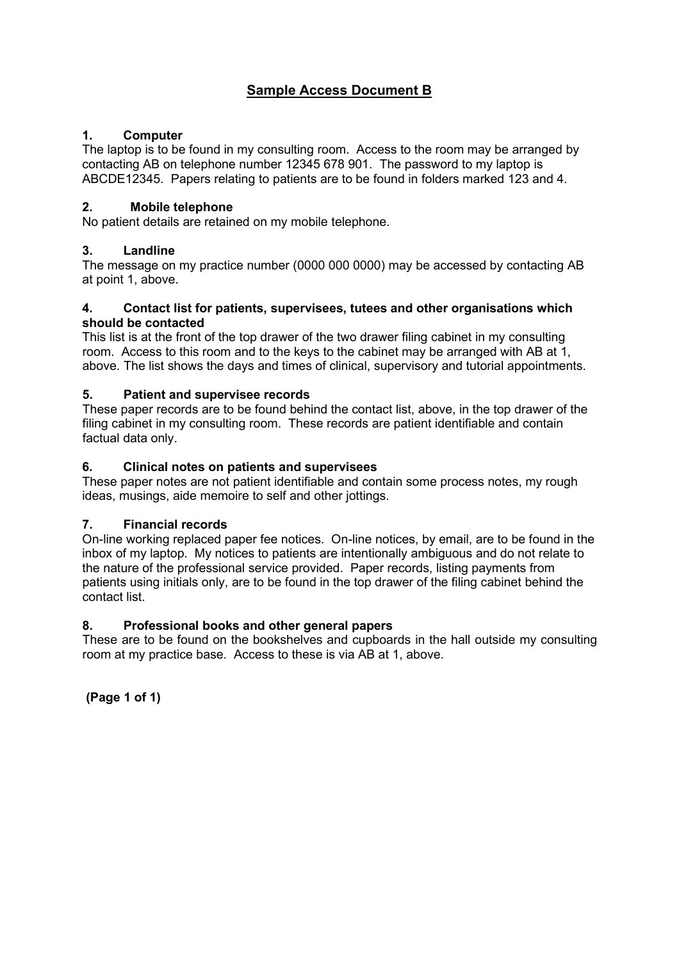# **Sample Access Document B**

## **1. Computer**

The laptop is to be found in my consulting room. Access to the room may be arranged by contacting AB on telephone number 12345 678 901. The password to my laptop is ABCDE12345. Papers relating to patients are to be found in folders marked 123 and 4.

## **2. Mobile telephone**

No patient details are retained on my mobile telephone.

## **3. Landline**

The message on my practice number (0000 000 0000) may be accessed by contacting AB at point 1, above.

#### **4. Contact list for patients, supervisees, tutees and other organisations which should be contacted**

This list is at the front of the top drawer of the two drawer filing cabinet in my consulting room. Access to this room and to the keys to the cabinet may be arranged with AB at 1, above. The list shows the days and times of clinical, supervisory and tutorial appointments.

## **5. Patient and supervisee records**

These paper records are to be found behind the contact list, above, in the top drawer of the filing cabinet in my consulting room. These records are patient identifiable and contain factual data only.

## **6. Clinical notes on patients and supervisees**

These paper notes are not patient identifiable and contain some process notes, my rough ideas, musings, aide memoire to self and other jottings.

## **7. Financial records**

On-line working replaced paper fee notices. On-line notices, by email, are to be found in the inbox of my laptop. My notices to patients are intentionally ambiguous and do not relate to the nature of the professional service provided. Paper records, listing payments from patients using initials only, are to be found in the top drawer of the filing cabinet behind the contact list.

## **8. Professional books and other general papers**

These are to be found on the bookshelves and cupboards in the hall outside my consulting room at my practice base. Access to these is via AB at 1, above.

**(Page 1 of 1)**